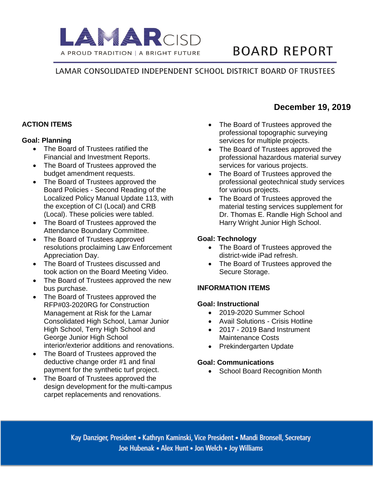

# **BOARD REPORT**

**December 19, 2019**

# LAMAR CONSOLIDATED INDEPENDENT SCHOOL DISTRICT BOARD OF TRUSTEES

# **ACTION ITEMS**

#### **Goal: Planning**

- The Board of Trustees ratified the Financial and Investment Reports.
- The Board of Trustees approved the budget amendment requests.
- The Board of Trustees approved the Board Policies - Second Reading of the Localized Policy Manual Update 113, with the exception of CI (Local) and CRB (Local). These policies were tabled.
- The Board of Trustees approved the Attendance Boundary Committee.
- The Board of Trustees approved resolutions proclaiming Law Enforcement Appreciation Day.
- The Board of Trustees discussed and took action on the Board Meeting Video.
- The Board of Trustees approved the new bus purchase.
- The Board of Trustees approved the RFP#03-2020RG for Construction Management at Risk for the Lamar Consolidated High School, Lamar Junior High School, Terry High School and George Junior High School interior/exterior additions and renovations.
- The Board of Trustees approved the deductive change order #1 and final payment for the synthetic turf project.
- The Board of Trustees approved the design development for the multi-campus carpet replacements and renovations.
- The Board of Trustees approved the professional topographic surveying services for multiple projects.
- The Board of Trustees approved the professional hazardous material survey services for various projects.
- The Board of Trustees approved the professional geotechnical study services for various projects.
- The Board of Trustees approved the material testing services supplement for Dr. Thomas E. Randle High School and Harry Wright Junior High School.

## **Goal: Technology**

- The Board of Trustees approved the district-wide iPad refresh.
- The Board of Trustees approved the Secure Storage.

## **INFORMATION ITEMS**

#### **Goal: Instructional**

- 2019-2020 Summer School
- Avail Solutions Crisis Hotline
- 2017 2019 Band Instrument Maintenance Costs
- Prekindergarten Update

#### **Goal: Communications**

• School Board Recognition Month

Kay Danziger, President • Kathryn Kaminski, Vice President • Mandi Bronsell, Secretary Joe Hubenak • Alex Hunt • Jon Welch • Joy Williams